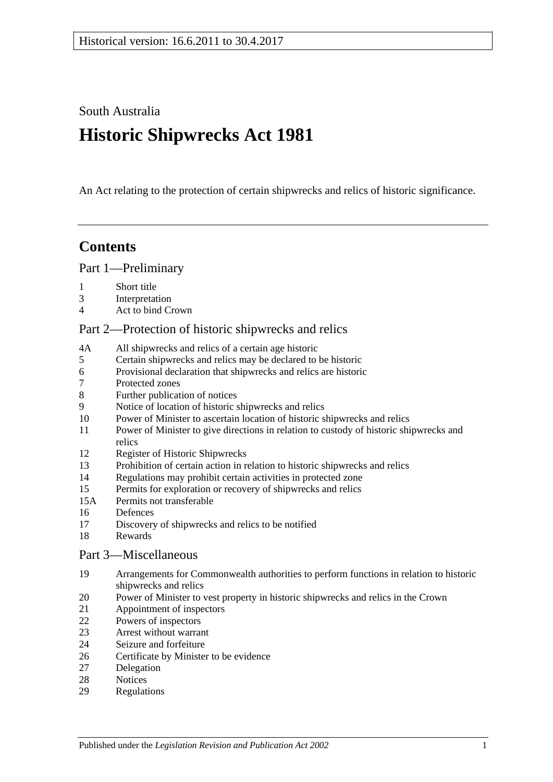South Australia

# **Historic Shipwrecks Act 1981**

An Act relating to the protection of certain shipwrecks and relics of historic significance.

# **Contents**

[Part 1—Preliminary](#page-1-0)

- [Short title](#page-1-1)
- [Interpretation](#page-1-2)
- [Act to bind Crown](#page-2-0)

# [Part 2—Protection of historic shipwrecks and relics](#page-2-1)

- 4A [All shipwrecks and relics of a certain age historic](#page-2-2)
- [Certain shipwrecks and relics may be declared to be historic](#page-2-3)
- [Provisional declaration that shipwrecks and relics are historic](#page-3-0)
- [Protected zones](#page-3-1)
- [Further publication of notices](#page-4-0)
- [Notice of location of historic shipwrecks and relics](#page-4-1)
- [Power of Minister to ascertain location of historic shipwrecks and relics](#page-4-2)
- [Power of Minister to give directions in relation to custody of historic shipwrecks and](#page-5-0)  [relics](#page-5-0)
- [Register of Historic Shipwrecks](#page-6-0)
- [Prohibition of certain action in relation to historic shipwrecks and relics](#page-6-1)
- [Regulations may prohibit certain activities in protected zone](#page-6-2)
- [Permits for exploration or recovery of shipwrecks and relics](#page-7-0)
- 15A [Permits not transferable](#page-8-0)
- [Defences](#page-8-1)
- [Discovery of shipwrecks and relics to be notified](#page-9-0)
- [Rewards](#page-9-1)

#### [Part 3—Miscellaneous](#page-10-0)

- [Arrangements for Commonwealth authorities to perform functions in relation to historic](#page-10-1)  [shipwrecks and relics](#page-10-1)
- [Power of Minister to vest property in historic shipwrecks and relics in the Crown](#page-10-2)
- [Appointment of inspectors](#page-10-3)
- [Powers of inspectors](#page-10-4)
- [Arrest without warrant](#page-12-0)
- [Seizure and forfeiture](#page-12-1)
- [Certificate by Minister to be evidence](#page-13-0)
- [Delegation](#page-13-1)
- [Notices](#page-13-2)
- [Regulations](#page-13-3)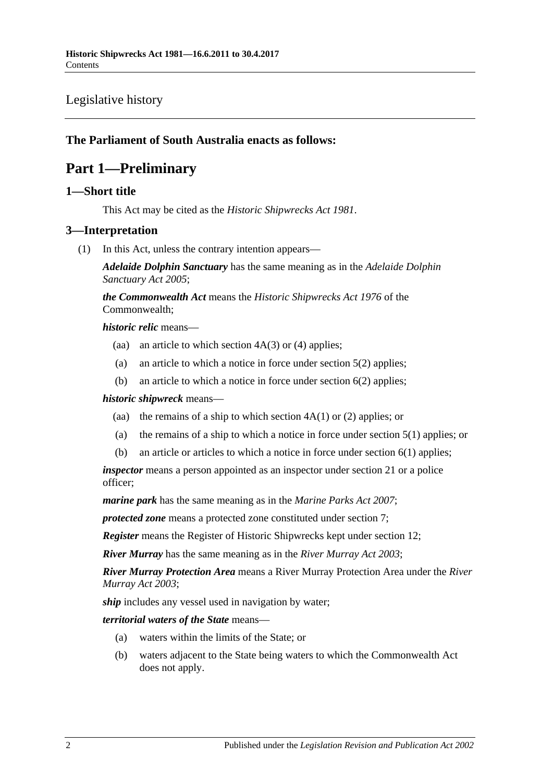# [Legislative history](#page-14-0)

# <span id="page-1-0"></span>**The Parliament of South Australia enacts as follows:**

# **Part 1—Preliminary**

## <span id="page-1-1"></span>**1—Short title**

This Act may be cited as the *Historic Shipwrecks Act 1981*.

# <span id="page-1-2"></span>**3—Interpretation**

(1) In this Act, unless the contrary intention appears—

*Adelaide Dolphin Sanctuary* has the same meaning as in the *[Adelaide Dolphin](http://www.legislation.sa.gov.au/index.aspx?action=legref&type=act&legtitle=Adelaide%20Dolphin%20Sanctuary%20Act%202005)  [Sanctuary Act](http://www.legislation.sa.gov.au/index.aspx?action=legref&type=act&legtitle=Adelaide%20Dolphin%20Sanctuary%20Act%202005) 2005*;

*the Commonwealth Act* means the *Historic Shipwrecks Act 1976* of the Commonwealth;

#### *historic relic* means—

- (aa) an article to which [section](#page-2-4)  $4A(3)$  or [\(4\)](#page-2-5) applies;
- (a) an article to which a notice in force under [section](#page-3-2) 5(2) applies;
- (b) an article to which a notice in force under [section](#page-3-3) 6(2) applies;

#### *historic shipwreck* means—

- (aa) the remains of a ship to which [section](#page-2-6)  $4A(1)$  or [\(2\)](#page-2-7) applies; or
- (a) the remains of a ship to which a notice in force under [section](#page-2-8) 5(1) applies; or
- (b) an article or articles to which a notice in force under [section](#page-3-4) 6(1) applies;

*inspector* means a person appointed as an inspector under [section](#page-10-3) 21 or a police officer;

*marine park* has the same meaning as in the *[Marine Parks Act](http://www.legislation.sa.gov.au/index.aspx?action=legref&type=act&legtitle=Marine%20Parks%20Act%202007) 2007*;

*protected zone* means a protected zone constituted under [section](#page-3-1) 7;

*Register* means the Register of Historic Shipwrecks kept under [section](#page-6-0) 12;

*River Murray* has the same meaning as in the *[River Murray Act](http://www.legislation.sa.gov.au/index.aspx?action=legref&type=act&legtitle=River%20Murray%20Act%202003) 2003*;

*River Murray Protection Area* means a River Murray Protection Area under the *[River](http://www.legislation.sa.gov.au/index.aspx?action=legref&type=act&legtitle=River%20Murray%20Act%202003)  [Murray Act](http://www.legislation.sa.gov.au/index.aspx?action=legref&type=act&legtitle=River%20Murray%20Act%202003) 2003*;

*ship* includes any vessel used in navigation by water;

#### *territorial waters of the State* means—

- (a) waters within the limits of the State; or
- (b) waters adjacent to the State being waters to which the Commonwealth Act does not apply.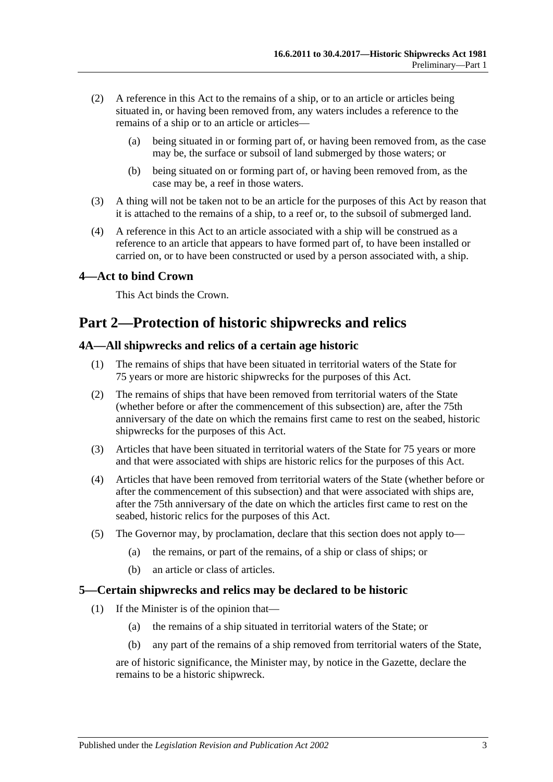- (2) A reference in this Act to the remains of a ship, or to an article or articles being situated in, or having been removed from, any waters includes a reference to the remains of a ship or to an article or articles-
	- (a) being situated in or forming part of, or having been removed from, as the case may be, the surface or subsoil of land submerged by those waters; or
	- (b) being situated on or forming part of, or having been removed from, as the case may be, a reef in those waters.
- (3) A thing will not be taken not to be an article for the purposes of this Act by reason that it is attached to the remains of a ship, to a reef or, to the subsoil of submerged land.
- (4) A reference in this Act to an article associated with a ship will be construed as a reference to an article that appears to have formed part of, to have been installed or carried on, or to have been constructed or used by a person associated with, a ship.

# <span id="page-2-0"></span>**4—Act to bind Crown**

This Act binds the Crown.

# <span id="page-2-1"></span>**Part 2—Protection of historic shipwrecks and relics**

### <span id="page-2-6"></span><span id="page-2-2"></span>**4A—All shipwrecks and relics of a certain age historic**

- (1) The remains of ships that have been situated in territorial waters of the State for 75 years or more are historic shipwrecks for the purposes of this Act.
- <span id="page-2-7"></span>(2) The remains of ships that have been removed from territorial waters of the State (whether before or after the commencement of this subsection) are, after the 75th anniversary of the date on which the remains first came to rest on the seabed, historic shipwrecks for the purposes of this Act.
- <span id="page-2-4"></span>(3) Articles that have been situated in territorial waters of the State for 75 years or more and that were associated with ships are historic relics for the purposes of this Act.
- <span id="page-2-5"></span>(4) Articles that have been removed from territorial waters of the State (whether before or after the commencement of this subsection) and that were associated with ships are, after the 75th anniversary of the date on which the articles first came to rest on the seabed, historic relics for the purposes of this Act.
- (5) The Governor may, by proclamation, declare that this section does not apply to—
	- (a) the remains, or part of the remains, of a ship or class of ships; or
	- (b) an article or class of articles.

#### <span id="page-2-8"></span><span id="page-2-3"></span>**5—Certain shipwrecks and relics may be declared to be historic**

- (1) If the Minister is of the opinion that—
	- (a) the remains of a ship situated in territorial waters of the State; or
	- (b) any part of the remains of a ship removed from territorial waters of the State,

are of historic significance, the Minister may, by notice in the Gazette, declare the remains to be a historic shipwreck.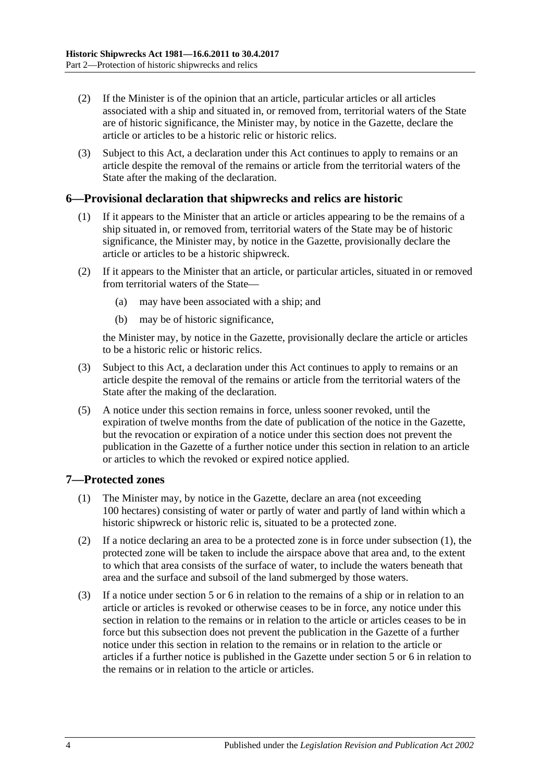- <span id="page-3-2"></span>(2) If the Minister is of the opinion that an article, particular articles or all articles associated with a ship and situated in, or removed from, territorial waters of the State are of historic significance, the Minister may, by notice in the Gazette, declare the article or articles to be a historic relic or historic relics.
- (3) Subject to this Act, a declaration under this Act continues to apply to remains or an article despite the removal of the remains or article from the territorial waters of the State after the making of the declaration.

### <span id="page-3-4"></span><span id="page-3-0"></span>**6—Provisional declaration that shipwrecks and relics are historic**

- (1) If it appears to the Minister that an article or articles appearing to be the remains of a ship situated in, or removed from, territorial waters of the State may be of historic significance, the Minister may, by notice in the Gazette, provisionally declare the article or articles to be a historic shipwreck.
- <span id="page-3-3"></span>(2) If it appears to the Minister that an article, or particular articles, situated in or removed from territorial waters of the State—
	- (a) may have been associated with a ship; and
	- (b) may be of historic significance,

the Minister may, by notice in the Gazette, provisionally declare the article or articles to be a historic relic or historic relics.

- (3) Subject to this Act, a declaration under this Act continues to apply to remains or an article despite the removal of the remains or article from the territorial waters of the State after the making of the declaration.
- (5) A notice under this section remains in force, unless sooner revoked, until the expiration of twelve months from the date of publication of the notice in the Gazette, but the revocation or expiration of a notice under this section does not prevent the publication in the Gazette of a further notice under this section in relation to an article or articles to which the revoked or expired notice applied.

#### <span id="page-3-5"></span><span id="page-3-1"></span>**7—Protected zones**

- (1) The Minister may, by notice in the Gazette, declare an area (not exceeding 100 hectares) consisting of water or partly of water and partly of land within which a historic shipwreck or historic relic is, situated to be a protected zone.
- (2) If a notice declaring an area to be a protected zone is in force under [subsection](#page-3-5) (1), the protected zone will be taken to include the airspace above that area and, to the extent to which that area consists of the surface of water, to include the waters beneath that area and the surface and subsoil of the land submerged by those waters.
- (3) If a notice under [section](#page-2-3) 5 or [6](#page-3-0) in relation to the remains of a ship or in relation to an article or articles is revoked or otherwise ceases to be in force, any notice under this section in relation to the remains or in relation to the article or articles ceases to be in force but this subsection does not prevent the publication in the Gazette of a further notice under this section in relation to the remains or in relation to the article or articles if a further notice is published in the Gazette under [section](#page-2-3) 5 or [6](#page-3-0) in relation to the remains or in relation to the article or articles.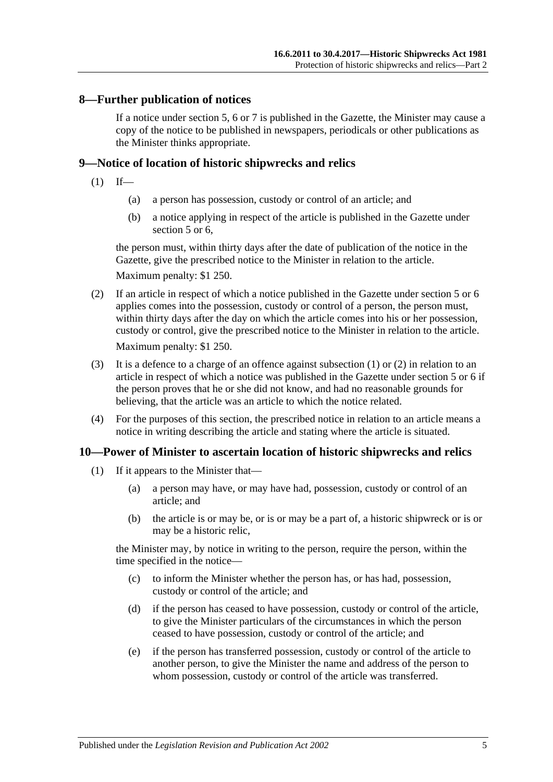### <span id="page-4-0"></span>**8—Further publication of notices**

If a notice under [section](#page-2-3) 5, [6](#page-3-0) or [7](#page-3-1) is published in the Gazette, the Minister may cause a copy of the notice to be published in newspapers, periodicals or other publications as the Minister thinks appropriate.

#### <span id="page-4-3"></span><span id="page-4-1"></span>**9—Notice of location of historic shipwrecks and relics**

- $(1)$  If—
	- (a) a person has possession, custody or control of an article; and
	- (b) a notice applying in respect of the article is published in the Gazette under [section](#page-2-3) 5 or [6,](#page-3-0)

the person must, within thirty days after the date of publication of the notice in the Gazette, give the prescribed notice to the Minister in relation to the article.

Maximum penalty: \$1 250.

- <span id="page-4-4"></span>(2) If an article in respect of which a notice published in the Gazette under [section](#page-2-3) 5 or [6](#page-3-0) applies comes into the possession, custody or control of a person, the person must, within thirty days after the day on which the article comes into his or her possession, custody or control, give the prescribed notice to the Minister in relation to the article. Maximum penalty: \$1 250.
- (3) It is a defence to a charge of an offence against [subsection](#page-4-3)  $(1)$  or  $(2)$  in relation to an article in respect of which a notice was published in the Gazette under [section](#page-2-3) 5 or [6](#page-3-0) if the person proves that he or she did not know, and had no reasonable grounds for believing, that the article was an article to which the notice related.
- (4) For the purposes of this section, the prescribed notice in relation to an article means a notice in writing describing the article and stating where the article is situated.

#### <span id="page-4-5"></span><span id="page-4-2"></span>**10—Power of Minister to ascertain location of historic shipwrecks and relics**

- (1) If it appears to the Minister that—
	- (a) a person may have, or may have had, possession, custody or control of an article; and
	- (b) the article is or may be, or is or may be a part of, a historic shipwreck or is or may be a historic relic,

the Minister may, by notice in writing to the person, require the person, within the time specified in the notice—

- (c) to inform the Minister whether the person has, or has had, possession, custody or control of the article; and
- (d) if the person has ceased to have possession, custody or control of the article, to give the Minister particulars of the circumstances in which the person ceased to have possession, custody or control of the article; and
- (e) if the person has transferred possession, custody or control of the article to another person, to give the Minister the name and address of the person to whom possession, custody or control of the article was transferred.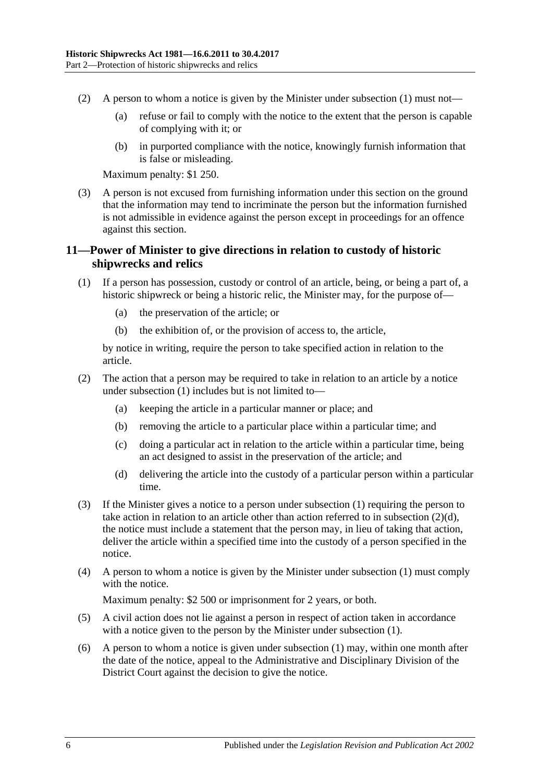- (2) A person to whom a notice is given by the Minister under [subsection](#page-4-5) (1) must not—
	- (a) refuse or fail to comply with the notice to the extent that the person is capable of complying with it; or
	- (b) in purported compliance with the notice, knowingly furnish information that is false or misleading.

Maximum penalty: \$1 250.

(3) A person is not excused from furnishing information under this section on the ground that the information may tend to incriminate the person but the information furnished is not admissible in evidence against the person except in proceedings for an offence against this section.

# <span id="page-5-0"></span>**11—Power of Minister to give directions in relation to custody of historic shipwrecks and relics**

- <span id="page-5-1"></span>(1) If a person has possession, custody or control of an article, being, or being a part of, a historic shipwreck or being a historic relic, the Minister may, for the purpose of—
	- (a) the preservation of the article; or
	- (b) the exhibition of, or the provision of access to, the article,

by notice in writing, require the person to take specified action in relation to the article.

- (2) The action that a person may be required to take in relation to an article by a notice under [subsection](#page-5-1) (1) includes but is not limited to—
	- (a) keeping the article in a particular manner or place; and
	- (b) removing the article to a particular place within a particular time; and
	- (c) doing a particular act in relation to the article within a particular time, being an act designed to assist in the preservation of the article; and
	- (d) delivering the article into the custody of a particular person within a particular time.
- <span id="page-5-2"></span>(3) If the Minister gives a notice to a person under [subsection](#page-5-1) (1) requiring the person to take action in relation to an article other than action referred to in [subsection](#page-5-2) (2)(d), the notice must include a statement that the person may, in lieu of taking that action, deliver the article within a specified time into the custody of a person specified in the notice.
- (4) A person to whom a notice is given by the Minister under [subsection](#page-5-1) (1) must comply with the notice.

Maximum penalty: \$2 500 or imprisonment for 2 years, or both.

- (5) A civil action does not lie against a person in respect of action taken in accordance with a notice given to the person by the Minister under [subsection](#page-5-1) (1).
- (6) A person to whom a notice is given under [subsection](#page-5-1) (1) may, within one month after the date of the notice, appeal to the Administrative and Disciplinary Division of the District Court against the decision to give the notice.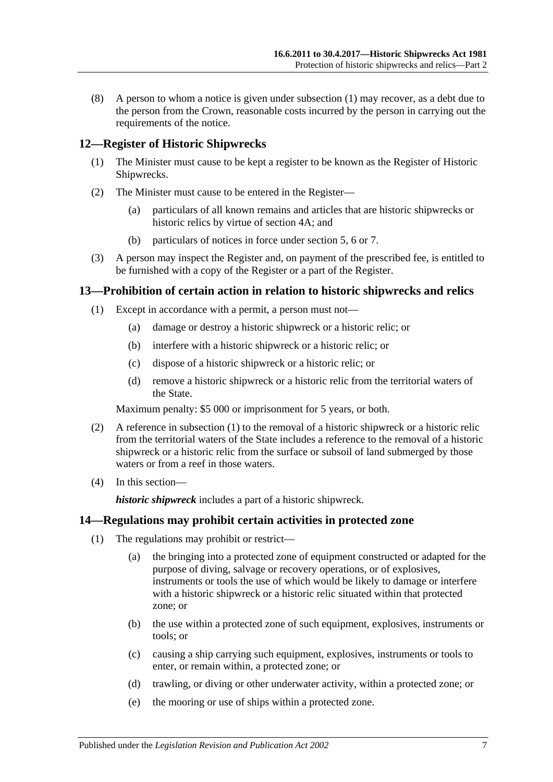(8) A person to whom a notice is given under [subsection](#page-5-1) (1) may recover, as a debt due to the person from the Crown, reasonable costs incurred by the person in carrying out the requirements of the notice.

## <span id="page-6-0"></span>**12—Register of Historic Shipwrecks**

- (1) The Minister must cause to be kept a register to be known as the Register of Historic Shipwrecks.
- (2) The Minister must cause to be entered in the Register—
	- (a) particulars of all known remains and articles that are historic shipwrecks or historic relics by virtue of [section](#page-2-2) 4A; and
	- (b) particulars of notices in force under [section](#page-2-3) 5, [6](#page-3-0) or [7.](#page-3-1)
- (3) A person may inspect the Register and, on payment of the prescribed fee, is entitled to be furnished with a copy of the Register or a part of the Register.

#### <span id="page-6-3"></span><span id="page-6-1"></span>**13—Prohibition of certain action in relation to historic shipwrecks and relics**

- (1) Except in accordance with a permit, a person must not—
	- (a) damage or destroy a historic shipwreck or a historic relic; or
	- (b) interfere with a historic shipwreck or a historic relic; or
	- (c) dispose of a historic shipwreck or a historic relic; or
	- (d) remove a historic shipwreck or a historic relic from the territorial waters of the State.

Maximum penalty: \$5 000 or imprisonment for 5 years, or both.

- (2) A reference in [subsection](#page-6-3) (1) to the removal of a historic shipwreck or a historic relic from the territorial waters of the State includes a reference to the removal of a historic shipwreck or a historic relic from the surface or subsoil of land submerged by those waters or from a reef in those waters.
- (4) In this section—

*historic shipwreck* includes a part of a historic shipwreck.

#### <span id="page-6-4"></span><span id="page-6-2"></span>**14—Regulations may prohibit certain activities in protected zone**

- (1) The regulations may prohibit or restrict—
	- (a) the bringing into a protected zone of equipment constructed or adapted for the purpose of diving, salvage or recovery operations, or of explosives, instruments or tools the use of which would be likely to damage or interfere with a historic shipwreck or a historic relic situated within that protected zone; or
	- (b) the use within a protected zone of such equipment, explosives, instruments or tools; or
	- (c) causing a ship carrying such equipment, explosives, instruments or tools to enter, or remain within, a protected zone; or
	- (d) trawling, or diving or other underwater activity, within a protected zone; or
	- (e) the mooring or use of ships within a protected zone.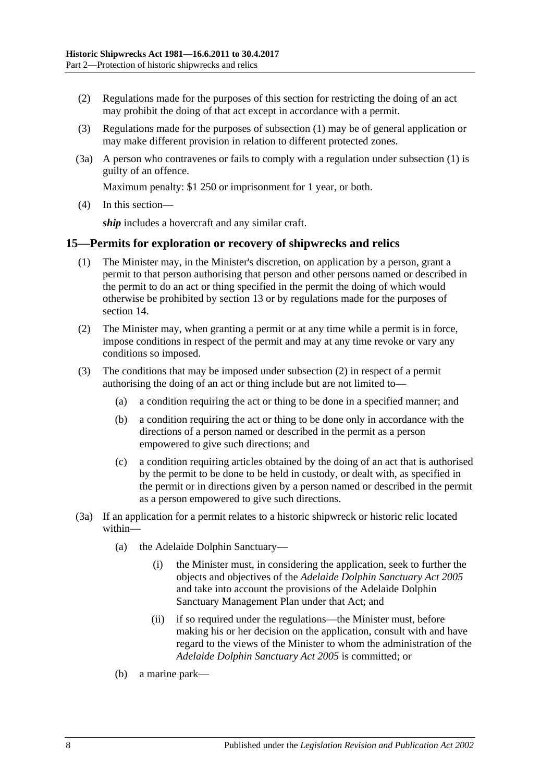- (2) Regulations made for the purposes of this section for restricting the doing of an act may prohibit the doing of that act except in accordance with a permit.
- (3) Regulations made for the purposes of [subsection](#page-6-4) (1) may be of general application or may make different provision in relation to different protected zones.
- (3a) A person who contravenes or fails to comply with a regulation under [subsection](#page-6-4) (1) is guilty of an offence.

Maximum penalty: \$1 250 or imprisonment for 1 year, or both.

(4) In this section—

*ship* includes a hovercraft and any similar craft.

#### <span id="page-7-0"></span>**15—Permits for exploration or recovery of shipwrecks and relics**

- (1) The Minister may, in the Minister's discretion, on application by a person, grant a permit to that person authorising that person and other persons named or described in the permit to do an act or thing specified in the permit the doing of which would otherwise be prohibited by [section](#page-6-1) 13 or by regulations made for the purposes of [section](#page-6-2) 14.
- <span id="page-7-1"></span>(2) The Minister may, when granting a permit or at any time while a permit is in force, impose conditions in respect of the permit and may at any time revoke or vary any conditions so imposed.
- (3) The conditions that may be imposed under [subsection](#page-7-1) (2) in respect of a permit authorising the doing of an act or thing include but are not limited to—
	- (a) a condition requiring the act or thing to be done in a specified manner; and
	- (b) a condition requiring the act or thing to be done only in accordance with the directions of a person named or described in the permit as a person empowered to give such directions; and
	- (c) a condition requiring articles obtained by the doing of an act that is authorised by the permit to be done to be held in custody, or dealt with, as specified in the permit or in directions given by a person named or described in the permit as a person empowered to give such directions.
- (3a) If an application for a permit relates to a historic shipwreck or historic relic located within—
	- (a) the Adelaide Dolphin Sanctuary—
		- (i) the Minister must, in considering the application, seek to further the objects and objectives of the *[Adelaide Dolphin Sanctuary Act](http://www.legislation.sa.gov.au/index.aspx?action=legref&type=act&legtitle=Adelaide%20Dolphin%20Sanctuary%20Act%202005) 2005* and take into account the provisions of the Adelaide Dolphin Sanctuary Management Plan under that Act; and
		- (ii) if so required under the regulations—the Minister must, before making his or her decision on the application, consult with and have regard to the views of the Minister to whom the administration of the *[Adelaide Dolphin Sanctuary Act](http://www.legislation.sa.gov.au/index.aspx?action=legref&type=act&legtitle=Adelaide%20Dolphin%20Sanctuary%20Act%202005) 2005* is committed; or
	- (b) a marine park—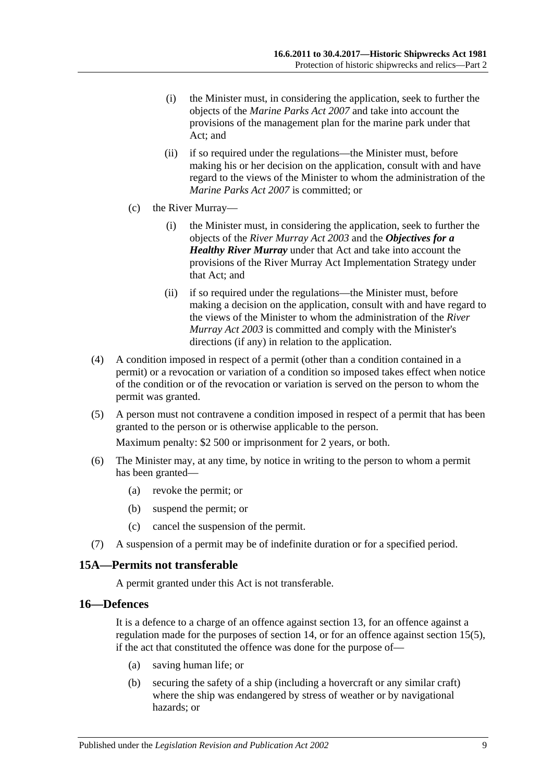- (i) the Minister must, in considering the application, seek to further the objects of the *[Marine Parks Act](http://www.legislation.sa.gov.au/index.aspx?action=legref&type=act&legtitle=Marine%20Parks%20Act%202007) 2007* and take into account the provisions of the management plan for the marine park under that Act; and
- (ii) if so required under the regulations—the Minister must, before making his or her decision on the application, consult with and have regard to the views of the Minister to whom the administration of the *[Marine Parks Act](http://www.legislation.sa.gov.au/index.aspx?action=legref&type=act&legtitle=Marine%20Parks%20Act%202007) 2007* is committed; or
- (c) the River Murray—
	- (i) the Minister must, in considering the application, seek to further the objects of the *[River Murray Act](http://www.legislation.sa.gov.au/index.aspx?action=legref&type=act&legtitle=River%20Murray%20Act%202003) 2003* and the *Objectives for a Healthy River Murray* under that Act and take into account the provisions of the River Murray Act Implementation Strategy under that Act; and
	- (ii) if so required under the regulations—the Minister must, before making a decision on the application, consult with and have regard to the views of the Minister to whom the administration of the *[River](http://www.legislation.sa.gov.au/index.aspx?action=legref&type=act&legtitle=River%20Murray%20Act%202003)  [Murray Act](http://www.legislation.sa.gov.au/index.aspx?action=legref&type=act&legtitle=River%20Murray%20Act%202003) 2003* is committed and comply with the Minister's directions (if any) in relation to the application.
- (4) A condition imposed in respect of a permit (other than a condition contained in a permit) or a revocation or variation of a condition so imposed takes effect when notice of the condition or of the revocation or variation is served on the person to whom the permit was granted.
- <span id="page-8-2"></span>(5) A person must not contravene a condition imposed in respect of a permit that has been granted to the person or is otherwise applicable to the person.

Maximum penalty: \$2 500 or imprisonment for 2 years, or both.

- (6) The Minister may, at any time, by notice in writing to the person to whom a permit has been granted—
	- (a) revoke the permit; or
	- (b) suspend the permit; or
	- (c) cancel the suspension of the permit.
- (7) A suspension of a permit may be of indefinite duration or for a specified period.

#### <span id="page-8-0"></span>**15A—Permits not transferable**

A permit granted under this Act is not transferable.

# <span id="page-8-1"></span>**16—Defences**

It is a defence to a charge of an offence against [section](#page-6-1) 13, for an offence against a regulation made for the purposes of [section](#page-6-2) 14, or for an offence against [section](#page-8-2) 15(5), if the act that constituted the offence was done for the purpose of—

- (a) saving human life; or
- (b) securing the safety of a ship (including a hovercraft or any similar craft) where the ship was endangered by stress of weather or by navigational hazards; or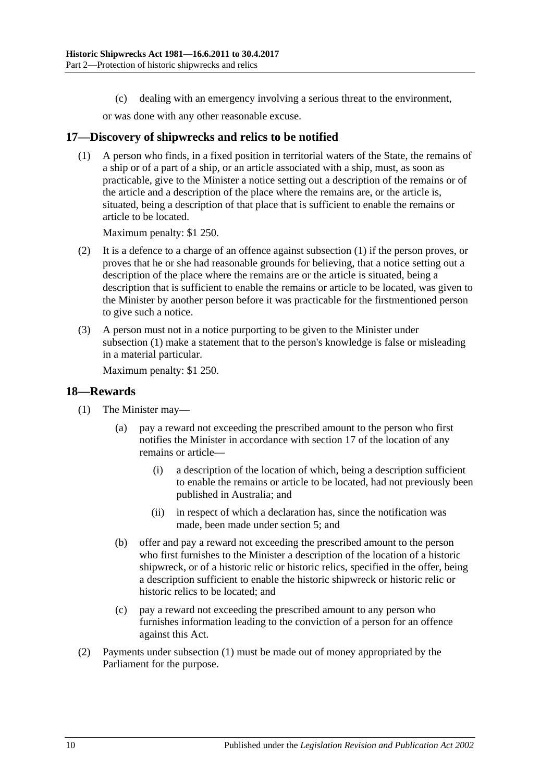(c) dealing with an emergency involving a serious threat to the environment,

or was done with any other reasonable excuse.

#### <span id="page-9-2"></span><span id="page-9-0"></span>**17—Discovery of shipwrecks and relics to be notified**

(1) A person who finds, in a fixed position in territorial waters of the State, the remains of a ship or of a part of a ship, or an article associated with a ship, must, as soon as practicable, give to the Minister a notice setting out a description of the remains or of the article and a description of the place where the remains are, or the article is, situated, being a description of that place that is sufficient to enable the remains or article to be located.

Maximum penalty: \$1 250.

- (2) It is a defence to a charge of an offence against [subsection](#page-9-2) (1) if the person proves, or proves that he or she had reasonable grounds for believing, that a notice setting out a description of the place where the remains are or the article is situated, being a description that is sufficient to enable the remains or article to be located, was given to the Minister by another person before it was practicable for the firstmentioned person to give such a notice.
- (3) A person must not in a notice purporting to be given to the Minister under [subsection](#page-9-2) (1) make a statement that to the person's knowledge is false or misleading in a material particular.

Maximum penalty: \$1 250.

#### <span id="page-9-3"></span><span id="page-9-1"></span>**18—Rewards**

- (1) The Minister may—
	- (a) pay a reward not exceeding the prescribed amount to the person who first notifies the Minister in accordance with [section](#page-9-0) 17 of the location of any remains or article—
		- (i) a description of the location of which, being a description sufficient to enable the remains or article to be located, had not previously been published in Australia; and
		- (ii) in respect of which a declaration has, since the notification was made, been made under [section](#page-2-3) 5; and
	- (b) offer and pay a reward not exceeding the prescribed amount to the person who first furnishes to the Minister a description of the location of a historic shipwreck, or of a historic relic or historic relics, specified in the offer, being a description sufficient to enable the historic shipwreck or historic relic or historic relics to be located; and
	- (c) pay a reward not exceeding the prescribed amount to any person who furnishes information leading to the conviction of a person for an offence against this Act.
- (2) Payments under [subsection](#page-9-3) (1) must be made out of money appropriated by the Parliament for the purpose.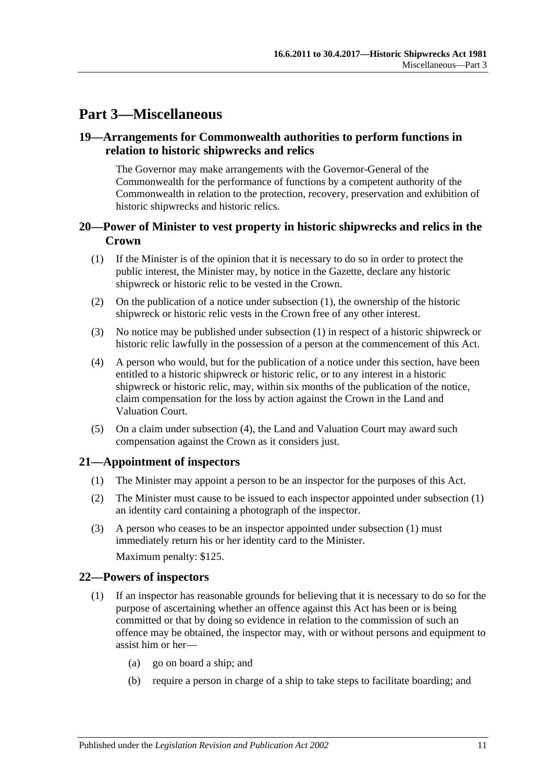# <span id="page-10-0"></span>**Part 3—Miscellaneous**

## <span id="page-10-1"></span>**19—Arrangements for Commonwealth authorities to perform functions in relation to historic shipwrecks and relics**

The Governor may make arrangements with the Governor-General of the Commonwealth for the performance of functions by a competent authority of the Commonwealth in relation to the protection, recovery, preservation and exhibition of historic shipwrecks and historic relics.

## <span id="page-10-2"></span>**20—Power of Minister to vest property in historic shipwrecks and relics in the Crown**

- <span id="page-10-5"></span>(1) If the Minister is of the opinion that it is necessary to do so in order to protect the public interest, the Minister may, by notice in the Gazette, declare any historic shipwreck or historic relic to be vested in the Crown.
- (2) On the publication of a notice under [subsection](#page-10-5) (1), the ownership of the historic shipwreck or historic relic vests in the Crown free of any other interest.
- (3) No notice may be published under [subsection](#page-10-5) (1) in respect of a historic shipwreck or historic relic lawfully in the possession of a person at the commencement of this Act.
- <span id="page-10-6"></span>(4) A person who would, but for the publication of a notice under this section, have been entitled to a historic shipwreck or historic relic, or to any interest in a historic shipwreck or historic relic, may, within six months of the publication of the notice, claim compensation for the loss by action against the Crown in the Land and Valuation Court.
- (5) On a claim under [subsection](#page-10-6) (4), the Land and Valuation Court may award such compensation against the Crown as it considers just.

# <span id="page-10-7"></span><span id="page-10-3"></span>**21—Appointment of inspectors**

- (1) The Minister may appoint a person to be an inspector for the purposes of this Act.
- (2) The Minister must cause to be issued to each inspector appointed under [subsection](#page-10-7) (1) an identity card containing a photograph of the inspector.
- (3) A person who ceases to be an inspector appointed under [subsection](#page-10-7) (1) must immediately return his or her identity card to the Minister.

Maximum penalty: \$125.

### <span id="page-10-4"></span>**22—Powers of inspectors**

- <span id="page-10-8"></span>(1) If an inspector has reasonable grounds for believing that it is necessary to do so for the purpose of ascertaining whether an offence against this Act has been or is being committed or that by doing so evidence in relation to the commission of such an offence may be obtained, the inspector may, with or without persons and equipment to assist him or her—
	- (a) go on board a ship; and
	- (b) require a person in charge of a ship to take steps to facilitate boarding; and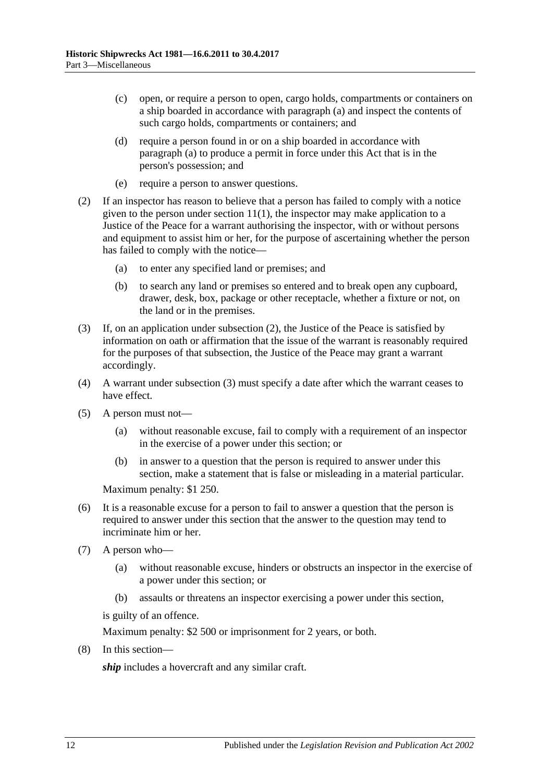- (c) open, or require a person to open, cargo holds, compartments or containers on a ship boarded in accordance with [paragraph](#page-10-8) (a) and inspect the contents of such cargo holds, compartments or containers; and
- (d) require a person found in or on a ship boarded in accordance with [paragraph](#page-10-8) (a) to produce a permit in force under this Act that is in the person's possession; and
- (e) require a person to answer questions.
- <span id="page-11-0"></span>(2) If an inspector has reason to believe that a person has failed to comply with a notice given to the person under [section](#page-5-1)  $11(1)$ , the inspector may make application to a Justice of the Peace for a warrant authorising the inspector, with or without persons and equipment to assist him or her, for the purpose of ascertaining whether the person has failed to comply with the notice—
	- (a) to enter any specified land or premises; and
	- (b) to search any land or premises so entered and to break open any cupboard, drawer, desk, box, package or other receptacle, whether a fixture or not, on the land or in the premises.
- <span id="page-11-1"></span>(3) If, on an application under [subsection](#page-11-0) (2), the Justice of the Peace is satisfied by information on oath or affirmation that the issue of the warrant is reasonably required for the purposes of that subsection, the Justice of the Peace may grant a warrant accordingly.
- (4) A warrant under [subsection](#page-11-1) (3) must specify a date after which the warrant ceases to have effect.
- (5) A person must not—
	- (a) without reasonable excuse, fail to comply with a requirement of an inspector in the exercise of a power under this section; or
	- (b) in answer to a question that the person is required to answer under this section, make a statement that is false or misleading in a material particular.

Maximum penalty: \$1 250.

- (6) It is a reasonable excuse for a person to fail to answer a question that the person is required to answer under this section that the answer to the question may tend to incriminate him or her.
- (7) A person who—
	- (a) without reasonable excuse, hinders or obstructs an inspector in the exercise of a power under this section; or
	- (b) assaults or threatens an inspector exercising a power under this section,

is guilty of an offence.

Maximum penalty: \$2 500 or imprisonment for 2 years, or both.

(8) In this section—

*ship* includes a hovercraft and any similar craft.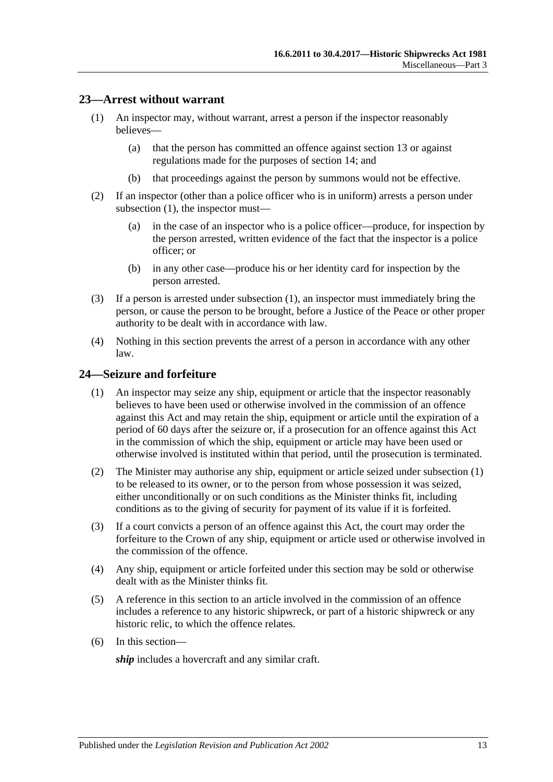### <span id="page-12-2"></span><span id="page-12-0"></span>**23—Arrest without warrant**

- (1) An inspector may, without warrant, arrest a person if the inspector reasonably believes—
	- (a) that the person has committed an offence against [section](#page-6-1) 13 or against regulations made for the purposes of [section](#page-6-2) 14; and
	- (b) that proceedings against the person by summons would not be effective.
- (2) If an inspector (other than a police officer who is in uniform) arrests a person under [subsection](#page-12-2) (1), the inspector must—
	- (a) in the case of an inspector who is a police officer—produce, for inspection by the person arrested, written evidence of the fact that the inspector is a police officer; or
	- (b) in any other case—produce his or her identity card for inspection by the person arrested.
- (3) If a person is arrested under [subsection](#page-12-2) (1), an inspector must immediately bring the person, or cause the person to be brought, before a Justice of the Peace or other proper authority to be dealt with in accordance with law.
- (4) Nothing in this section prevents the arrest of a person in accordance with any other law.

#### <span id="page-12-3"></span><span id="page-12-1"></span>**24—Seizure and forfeiture**

- (1) An inspector may seize any ship, equipment or article that the inspector reasonably believes to have been used or otherwise involved in the commission of an offence against this Act and may retain the ship, equipment or article until the expiration of a period of 60 days after the seizure or, if a prosecution for an offence against this Act in the commission of which the ship, equipment or article may have been used or otherwise involved is instituted within that period, until the prosecution is terminated.
- (2) The Minister may authorise any ship, equipment or article seized under [subsection](#page-12-3) (1) to be released to its owner, or to the person from whose possession it was seized, either unconditionally or on such conditions as the Minister thinks fit, including conditions as to the giving of security for payment of its value if it is forfeited.
- (3) If a court convicts a person of an offence against this Act, the court may order the forfeiture to the Crown of any ship, equipment or article used or otherwise involved in the commission of the offence.
- (4) Any ship, equipment or article forfeited under this section may be sold or otherwise dealt with as the Minister thinks fit.
- (5) A reference in this section to an article involved in the commission of an offence includes a reference to any historic shipwreck, or part of a historic shipwreck or any historic relic, to which the offence relates.
- (6) In this section—

*ship* includes a hovercraft and any similar craft.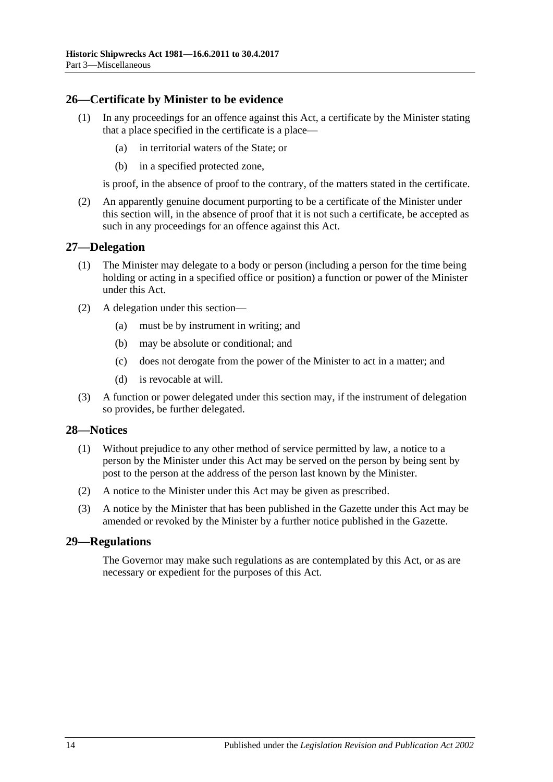### <span id="page-13-0"></span>**26—Certificate by Minister to be evidence**

- (1) In any proceedings for an offence against this Act, a certificate by the Minister stating that a place specified in the certificate is a place—
	- (a) in territorial waters of the State; or
	- (b) in a specified protected zone,

is proof, in the absence of proof to the contrary, of the matters stated in the certificate.

(2) An apparently genuine document purporting to be a certificate of the Minister under this section will, in the absence of proof that it is not such a certificate, be accepted as such in any proceedings for an offence against this Act.

#### <span id="page-13-1"></span>**27—Delegation**

- (1) The Minister may delegate to a body or person (including a person for the time being holding or acting in a specified office or position) a function or power of the Minister under this Act.
- (2) A delegation under this section—
	- (a) must be by instrument in writing; and
	- (b) may be absolute or conditional; and
	- (c) does not derogate from the power of the Minister to act in a matter; and
	- (d) is revocable at will.
- (3) A function or power delegated under this section may, if the instrument of delegation so provides, be further delegated.

#### <span id="page-13-2"></span>**28—Notices**

- (1) Without prejudice to any other method of service permitted by law, a notice to a person by the Minister under this Act may be served on the person by being sent by post to the person at the address of the person last known by the Minister.
- (2) A notice to the Minister under this Act may be given as prescribed.
- (3) A notice by the Minister that has been published in the Gazette under this Act may be amended or revoked by the Minister by a further notice published in the Gazette.

#### <span id="page-13-3"></span>**29—Regulations**

The Governor may make such regulations as are contemplated by this Act, or as are necessary or expedient for the purposes of this Act.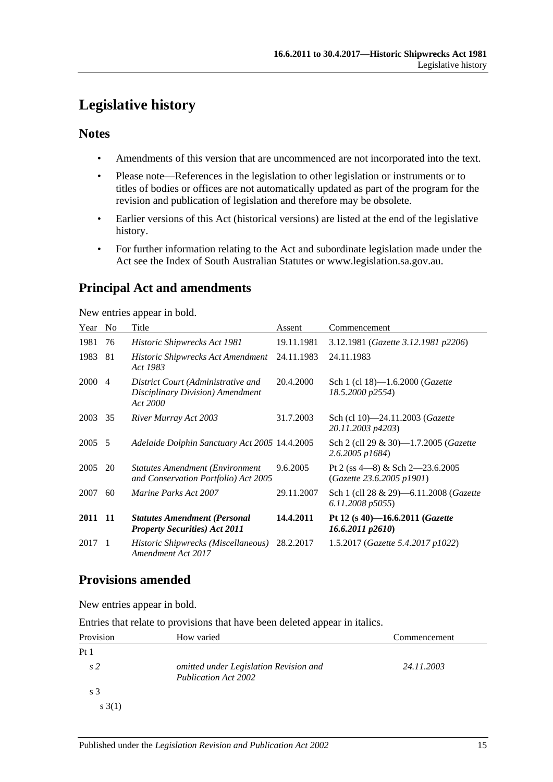# <span id="page-14-0"></span>**Legislative history**

# **Notes**

- Amendments of this version that are uncommenced are not incorporated into the text.
- Please note—References in the legislation to other legislation or instruments or to titles of bodies or offices are not automatically updated as part of the program for the revision and publication of legislation and therefore may be obsolete.
- Earlier versions of this Act (historical versions) are listed at the end of the legislative history.
- For further information relating to the Act and subordinate legislation made under the Act see the Index of South Australian Statutes or www.legislation.sa.gov.au.

# **Principal Act and amendments**

New entries appear in bold.

| Year    | N <sub>0</sub> | Title                                                                              | Assent     | Commencement                                                    |
|---------|----------------|------------------------------------------------------------------------------------|------------|-----------------------------------------------------------------|
| 1981    | 76             | Historic Shipwrecks Act 1981                                                       | 19.11.1981 | 3.12.1981 (Gazette 3.12.1981 p2206)                             |
| 1983    | 81             | Historic Shipwrecks Act Amendment<br>Act 1983                                      | 24.11.1983 | 24.11.1983                                                      |
| 2000    | $\overline{4}$ | District Court (Administrative and<br>Disciplinary Division) Amendment<br>Act 2000 | 20.4.2000  | Sch 1 (cl 18)-1.6.2000 ( <i>Gazette</i><br>18.5.2000 p2554)     |
| 2003    | 35             | River Murray Act 2003                                                              | 31.7.2003  | Sch (cl 10)-24.11.2003 (Gazette<br>20.11.2003 p4203)            |
| 2005    | -5             | Adelaide Dolphin Sanctuary Act 2005 14.4.2005                                      |            | Sch 2 (cll 29 & 30)-1.7.2005 (Gazette<br>$2.6.2005$ $p1684$     |
| 2005    | 20             | <b>Statutes Amendment (Environment</b> )<br>and Conservation Portfolio) Act 2005   | 9.6.2005   | Pt 2 (ss $4-8$ ) & Sch 2-23.6.2005<br>(Gazette 23.6.2005 p1901) |
| 2007    | 60             | <i>Marine Parks Act 2007</i>                                                       | 29.11.2007 | Sch 1 (cll 28 & 29)-6.11.2008 (Gazette<br>6.11.2008 p5055       |
| 2011 11 |                | <b>Statutes Amendment (Personal</b><br><b>Property Securities) Act 2011</b>        | 14.4.2011  | Pt 12 (s 40)-16.6.2011 (Gazette<br>$16.6.2011$ $p2610$          |
| 2017    | $\overline{1}$ | Historic Shipwrecks (Miscellaneous)<br>Amendment Act 2017                          | 28.2.2017  | 1.5.2017 (Gazette 5.4.2017 p1022)                               |

# **Provisions amended**

New entries appear in bold.

Entries that relate to provisions that have been deleted appear in italics.

| Provision       | How varied                                                     | Commencement |
|-----------------|----------------------------------------------------------------|--------------|
| Pt <sub>1</sub> |                                                                |              |
| s <sub>2</sub>  | omitted under Legislation Revision and<br>Publication Act 2002 | 24.11.2003   |
| s <sub>3</sub>  |                                                                |              |
| s(3(1))         |                                                                |              |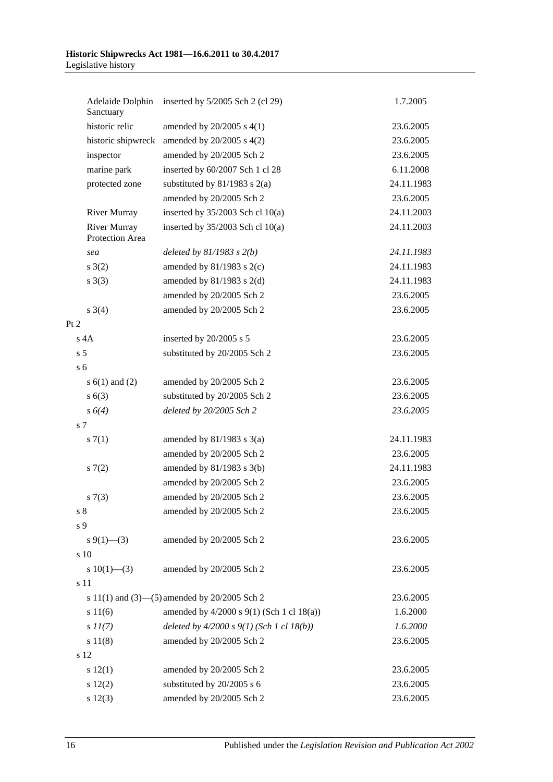| Adelaide Dolphin<br>Sanctuary          | inserted by 5/2005 Sch 2 (cl 29)             | 1.7.2005   |
|----------------------------------------|----------------------------------------------|------------|
| historic relic                         | amended by $20/2005$ s $4(1)$                | 23.6.2005  |
| historic shipwreck                     | amended by $20/2005$ s $4(2)$                | 23.6.2005  |
| inspector                              | amended by 20/2005 Sch 2                     | 23.6.2005  |
| marine park                            | inserted by 60/2007 Sch 1 cl 28              | 6.11.2008  |
| protected zone                         | substituted by $81/1983$ s $2(a)$            | 24.11.1983 |
|                                        | amended by 20/2005 Sch 2                     | 23.6.2005  |
| <b>River Murray</b>                    | inserted by $35/2003$ Sch cl 10(a)           | 24.11.2003 |
| <b>River Murray</b><br>Protection Area | inserted by $35/2003$ Sch cl 10(a)           | 24.11.2003 |
| sea                                    | deleted by $81/1983$ s $2(b)$                | 24.11.1983 |
| s(2)                                   | amended by $81/1983$ s $2(c)$                | 24.11.1983 |
| $s \; 3(3)$                            | amended by $81/1983$ s $2(d)$                | 24.11.1983 |
|                                        | amended by 20/2005 Sch 2                     | 23.6.2005  |
| $s \; 3(4)$                            | amended by 20/2005 Sch 2                     | 23.6.2005  |
| Pt 2                                   |                                              |            |
| $s$ 4A                                 | inserted by 20/2005 s 5                      | 23.6.2005  |
| s <sub>5</sub>                         | substituted by 20/2005 Sch 2                 | 23.6.2005  |
| s <sub>6</sub>                         |                                              |            |
| s $6(1)$ and $(2)$                     | amended by 20/2005 Sch 2                     | 23.6.2005  |
| s(6(3))                                | substituted by 20/2005 Sch 2                 | 23.6.2005  |
| $s\ 6(4)$                              | deleted by 20/2005 Sch 2                     | 23.6.2005  |
| s 7                                    |                                              |            |
| s(7(1))                                | amended by $81/1983$ s $3(a)$                | 24.11.1983 |
|                                        | amended by 20/2005 Sch 2                     | 23.6.2005  |
| s(7(2)                                 | amended by $81/1983$ s $3(b)$                | 24.11.1983 |
|                                        | amended by 20/2005 Sch 2                     | 23.6.2005  |
| s(7(3))                                | amended by 20/2005 Sch 2                     | 23.6.2005  |
| $s8$                                   | amended by 20/2005 Sch 2                     | 23.6.2005  |
| s 9                                    |                                              |            |
| $s \frac{9(1) - (3)}{2}$               | amended by 20/2005 Sch 2                     | 23.6.2005  |
| s 10                                   |                                              |            |
| s $10(1)$ —(3)                         | amended by 20/2005 Sch 2                     | 23.6.2005  |
| s 11                                   |                                              |            |
|                                        | s 11(1) and (3)–(5) amended by 20/2005 Sch 2 | 23.6.2005  |
| s 11(6)                                | amended by 4/2000 s 9(1) (Sch 1 cl 18(a))    | 1.6.2000   |
| $s\,II(7)$                             | deleted by $4/2000 s 9(1)$ (Sch 1 cl 18(b))  | 1.6.2000   |
| s 11(8)                                | amended by 20/2005 Sch 2                     | 23.6.2005  |
| s 12                                   |                                              |            |
| 12(1)                                  | amended by 20/2005 Sch 2                     | 23.6.2005  |
| 12(2)                                  | substituted by 20/2005 s 6                   | 23.6.2005  |
| s 12(3)                                | amended by 20/2005 Sch 2                     | 23.6.2005  |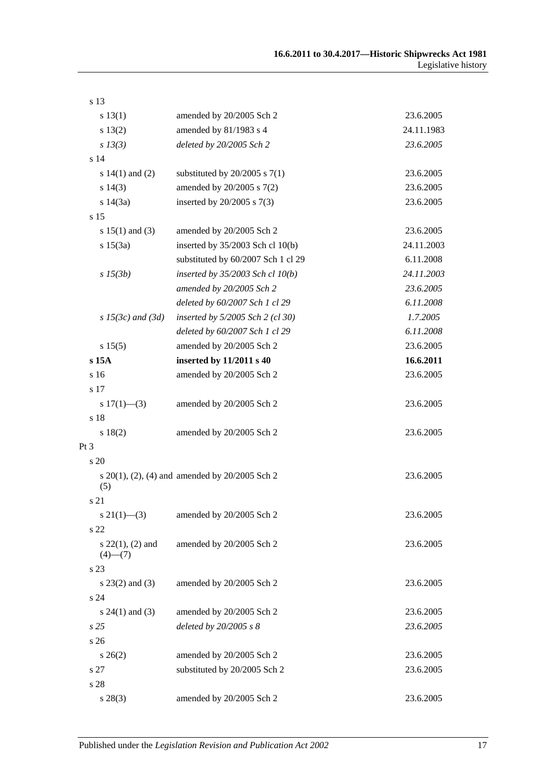| s 13                                   |                                                          |            |
|----------------------------------------|----------------------------------------------------------|------------|
| s 13(1)                                | amended by 20/2005 Sch 2                                 | 23.6.2005  |
| s 13(2)                                | amended by 81/1983 s 4                                   | 24.11.1983 |
| $s$ 13(3)                              | deleted by 20/2005 Sch 2                                 | 23.6.2005  |
| s 14                                   |                                                          |            |
| s $14(1)$ and $(2)$                    | substituted by $20/2005$ s $7(1)$                        | 23.6.2005  |
| $s\ 14(3)$                             | amended by 20/2005 s 7(2)                                | 23.6.2005  |
| s 14(3a)                               | inserted by $20/2005$ s $7(3)$                           | 23.6.2005  |
| s 15                                   |                                                          |            |
| s $15(1)$ and (3)                      | amended by 20/2005 Sch 2                                 | 23.6.2005  |
| s 15(3a)                               | inserted by 35/2003 Sch cl 10(b)                         | 24.11.2003 |
|                                        | substituted by 60/2007 Sch 1 cl 29                       | 6.11.2008  |
| $s\,15(3b)$                            | inserted by $35/2003$ Sch cl $10(b)$                     | 24.11.2003 |
|                                        | amended by 20/2005 Sch 2                                 | 23.6.2005  |
|                                        | deleted by 60/2007 Sch 1 cl 29                           | 6.11.2008  |
| $s$ 15(3c) and (3d)                    | inserted by 5/2005 Sch 2 (cl 30)                         | 1.7.2005   |
|                                        | deleted by 60/2007 Sch 1 cl 29                           | 6.11.2008  |
| s 15(5)                                | amended by 20/2005 Sch 2                                 | 23.6.2005  |
| s 15A                                  | inserted by 11/2011 s 40                                 | 16.6.2011  |
| s 16                                   | amended by 20/2005 Sch 2                                 | 23.6.2005  |
| s 17                                   |                                                          |            |
| s $17(1)$ —(3)                         | amended by 20/2005 Sch 2                                 | 23.6.2005  |
| s 18                                   |                                                          |            |
| s 18(2)                                | amended by 20/2005 Sch 2                                 | 23.6.2005  |
| $Pt\,3$                                |                                                          |            |
| s 20                                   |                                                          |            |
| (5)                                    | s $20(1)$ , $(2)$ , $(4)$ and amended by $20/2005$ Sch 2 | 23.6.2005  |
| s 21                                   |                                                          |            |
| $s\ 21(1)$ - (3)                       | amended by 20/2005 Sch 2                                 | 23.6.2005  |
| s 22                                   |                                                          |            |
| s $22(1)$ , $(2)$ and<br>$(4)$ — $(7)$ | amended by 20/2005 Sch 2                                 | 23.6.2005  |
| s 23                                   |                                                          |            |
| $s$ 23(2) and (3)                      | amended by 20/2005 Sch 2                                 | 23.6.2005  |
| s 24                                   |                                                          |            |
| s $24(1)$ and $(3)$                    | amended by 20/2005 Sch 2                                 | 23.6.2005  |
| s <sub>25</sub>                        | deleted by 20/2005 s 8                                   | 23.6.2005  |
| s26                                    |                                                          |            |
| $s \, 26(2)$                           | amended by 20/2005 Sch 2                                 | 23.6.2005  |
| s 27                                   | substituted by 20/2005 Sch 2                             | 23.6.2005  |
| s 28                                   |                                                          |            |
| $s\,28(3)$                             | amended by 20/2005 Sch 2                                 | 23.6.2005  |